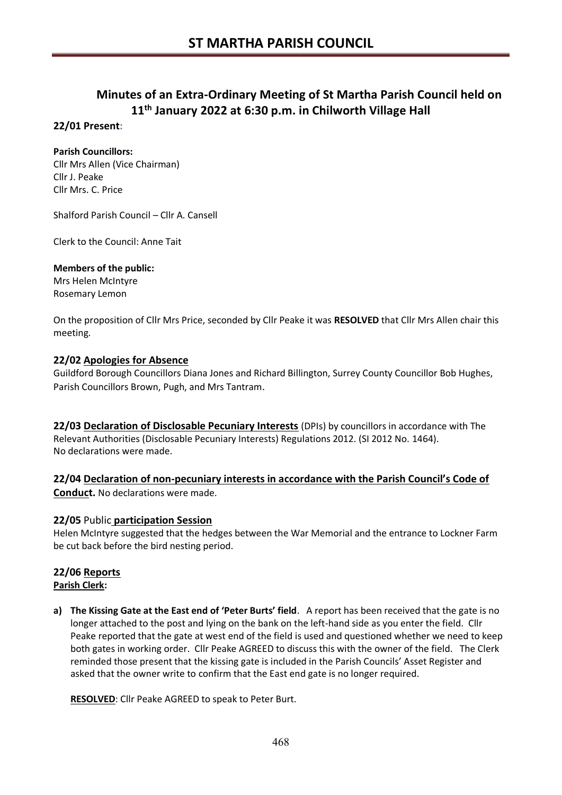## **Minutes of an Extra-Ordinary Meeting of St Martha Parish Council held on 11th January 2022 at 6:30 p.m. in Chilworth Village Hall**

## **22/01 Present:**

## **Parish Councillors:**

Cllr Mrs Allen (Vice Chairman) Cllr J. Peake Cllr Mrs. C. Price

Shalford Parish Council – Cllr A. Cansell

Clerk to the Council: Anne Tait

## **Members of the public:**

Mrs Helen McIntyre Rosemary Lemon

On the proposition of Cllr Mrs Price, seconded by Cllr Peake it was **RESOLVED** that Cllr Mrs Allen chair this meeting.

## **22/02 Apologies for Absence**

Guildford Borough Councillors Diana Jones and Richard Billington, Surrey County Councillor Bob Hughes, Parish Councillors Brown, Pugh, and Mrs Tantram.

**22/03 Declaration of Disclosable Pecuniary Interests** (DPIs) by councillors in accordance with The Relevant Authorities (Disclosable Pecuniary Interests) Regulations 2012. (SI 2012 No. 1464). No declarations were made.

**22/04 Declaration of non-pecuniary interests in accordance with the Parish Council's Code of Conduct.** No declarations were made.

## **22/05** Public **participation Session**

Helen McIntyre suggested that the hedges between the War Memorial and the entrance to Lockner Farm be cut back before the bird nesting period.

# **22/06 Reports**

## **Parish Clerk:**

**a) The Kissing Gate at the East end of 'Peter Burts' field**. A report has been received that the gate is no longer attached to the post and lying on the bank on the left-hand side as you enter the field. Cllr Peake reported that the gate at west end of the field is used and questioned whether we need to keep both gates in working order. Cllr Peake AGREED to discuss this with the owner of the field. The Clerk reminded those present that the kissing gate is included in the Parish Councils' Asset Register and asked that the owner write to confirm that the East end gate is no longer required.

**RESOLVED**: Cllr Peake AGREED to speak to Peter Burt.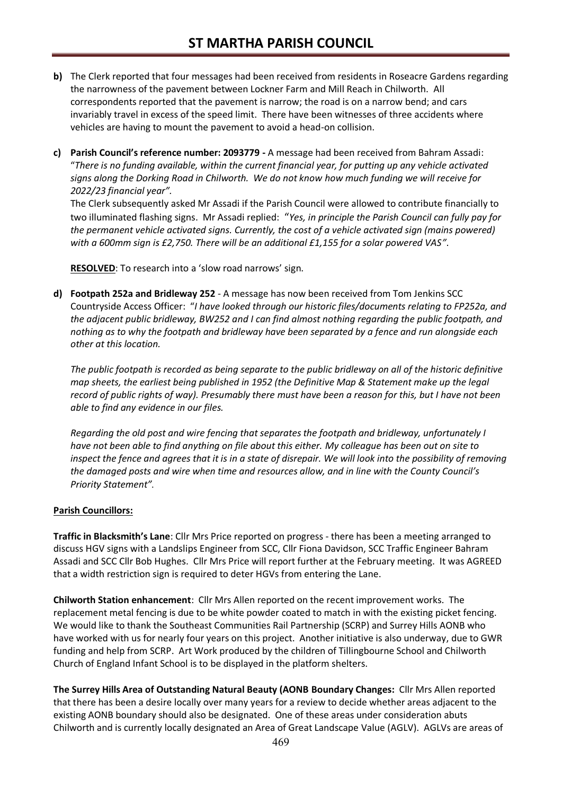- **b)** The Clerk reported that four messages had been received from residents in Roseacre Gardens regarding the narrowness of the pavement between Lockner Farm and Mill Reach in Chilworth. All correspondents reported that the pavement is narrow; the road is on a narrow bend; and cars invariably travel in excess of the speed limit. There have been witnesses of three accidents where vehicles are having to mount the pavement to avoid a head-on collision.
- **c) Parish Council's reference number: 2093779 -** A message had been received from Bahram Assadi: "*There is no funding available, within the current financial year, for putting up any vehicle activated signs along the Dorking Road in Chilworth. We do not know how much funding we will receive for 2022/23 financial year".*

The Clerk subsequently asked Mr Assadi if the Parish Council were allowed to contribute financially to two illuminated flashing signs. Mr Assadi replied: "*Yes, in principle the Parish Council can fully pay for the permanent vehicle activated signs. Currently, the cost of a vehicle activated sign (mains powered) with a 600mm sign is £2,750. There will be an additional £1,155 for a solar powered VAS"*.

**RESOLVED**: To research into a 'slow road narrows' sign.

**d) Footpath 252a and Bridleway 252** - A message has now been received from Tom Jenkins SCC Countryside Access Officer: "*I have looked through our historic files/documents relating to FP252a, and the adjacent public bridleway, BW252 and I can find almost nothing regarding the public footpath, and nothing as to why the footpath and bridleway have been separated by a fence and run alongside each other at this location.* 

*The public footpath is recorded as being separate to the public bridleway on all of the historic definitive map sheets, the earliest being published in 1952 (the Definitive Map & Statement make up the legal record of public rights of way). Presumably there must have been a reason for this, but I have not been able to find any evidence in our files.*

*Regarding the old post and wire fencing that separates the footpath and bridleway, unfortunately I have not been able to find anything on file about this either. My colleague has been out on site to inspect the fence and agrees that it is in a state of disrepair. We will look into the possibility of removing the damaged posts and wire when time and resources allow, and in line with the County Council's Priority Statement".*

## **Parish Councillors:**

**Traffic in Blacksmith's Lane**: Cllr Mrs Price reported on progress - there has been a meeting arranged to discuss HGV signs with a Landslips Engineer from SCC, Cllr Fiona Davidson, SCC Traffic Engineer Bahram Assadi and SCC Cllr Bob Hughes. Cllr Mrs Price will report further at the February meeting. It was AGREED that a width restriction sign is required to deter HGVs from entering the Lane.

**Chilworth Station enhancement**: Cllr Mrs Allen reported on the recent improvement works. The replacement metal fencing is due to be white powder coated to match in with the existing picket fencing. We would like to thank the Southeast Communities Rail Partnership (SCRP) and Surrey Hills AONB who have worked with us for nearly four years on this project. Another initiative is also underway, due to GWR funding and help from SCRP. Art Work produced by the children of Tillingbourne School and Chilworth Church of England Infant School is to be displayed in the platform shelters.

**The Surrey Hills Area of Outstanding Natural Beauty (AONB Boundary Changes:** Cllr Mrs Allen reported that there has been a desire locally over many years for a review to decide whether areas adjacent to the existing AONB boundary should also be designated. One of these areas under consideration abuts Chilworth and is currently locally designated an Area of Great Landscape Value (AGLV). AGLVs are areas of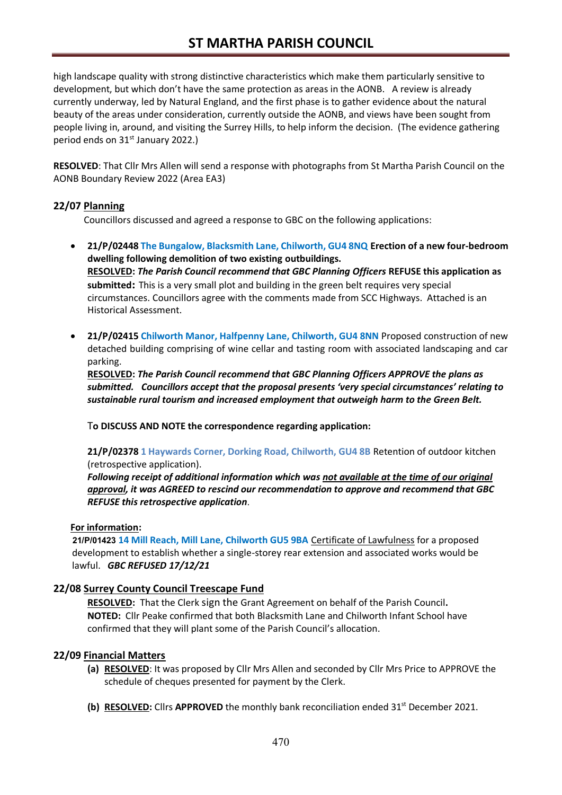high landscape quality with strong distinctive characteristics which make them particularly sensitive to development, but which don't have the same protection as areas in the AONB. A review is already currently underway, led by Natural England, and the first phase is to gather evidence about the natural beauty of the areas under consideration, currently outside the AONB, and views have been sought from people living in, around, and visiting the Surrey Hills, to help inform the decision. (The evidence gathering period ends on 31<sup>st</sup> January 2022.)

**RESOLVED**: That Cllr Mrs Allen will send a response with photographs from St Martha Parish Council on the AONB Boundary Review 2022 (Area EA3)

## **22/07 Planning**

Councillors discussed and agreed a response to GBC on the following applications:

- **21/P/02448 The Bungalow, Blacksmith Lane, Chilworth, GU4 8NQ Erection of a new four-bedroom dwelling following demolition of two existing outbuildings. RESOLVED:** *The Parish Council recommend that GBC Planning Officers* **REFUSE this application as submitted:** This is a very small plot and building in the green belt requires very special circumstances. Councillors agree with the comments made from SCC Highways. Attached is an Historical Assessment.
- **21/P/02415 Chilworth Manor, Halfpenny Lane, Chilworth, GU4 8NN** Proposed construction of new detached building comprising of wine cellar and tasting room with associated landscaping and car parking.

**RESOLVED:** *The Parish Council recommend that GBC Planning Officers APPROVE the plans as submitted. Councillors accept that the proposal presents 'very special circumstances' relating to sustainable rural tourism and increased employment that outweigh harm to the Green Belt.*

T**o DISCUSS AND NOTE the correspondence regarding application:**

**21/P/02378 1 Haywards Corner, Dorking Road, Chilworth, GU4 8B** Retention of outdoor kitchen (retrospective application).

*Following receipt of additional information which was not available at the time of our original approval, it was AGREED to rescind our recommendation to approve and recommend that GBC REFUSE this retrospective application*.

## **For information:**

 **21/P/01423 14 Mill Reach, Mill Lane, Chilworth GU5 9BA** Certificate of Lawfulness for a proposed development to establish whether a single-storey rear extension and associated works would be lawful. *GBC REFUSED 17/12/21*

## **22/08 Surrey County Council Treescape Fund**

**RESOLVED:** That the Clerk sign the Grant Agreement on behalf of the Parish Council**. NOTED:** Cllr Peake confirmed that both Blacksmith Lane and Chilworth Infant School have confirmed that they will plant some of the Parish Council's allocation.

## **22/09 Financial Matters**

- **(a) RESOLVED**: It was proposed by Cllr Mrs Allen and seconded by Cllr Mrs Price to APPROVE the schedule of cheques presented for payment by the Clerk.
- **(b) RESOLVED:** Cllrs **APPROVED** the monthly bank reconciliation ended 31<sup>st</sup> December 2021.